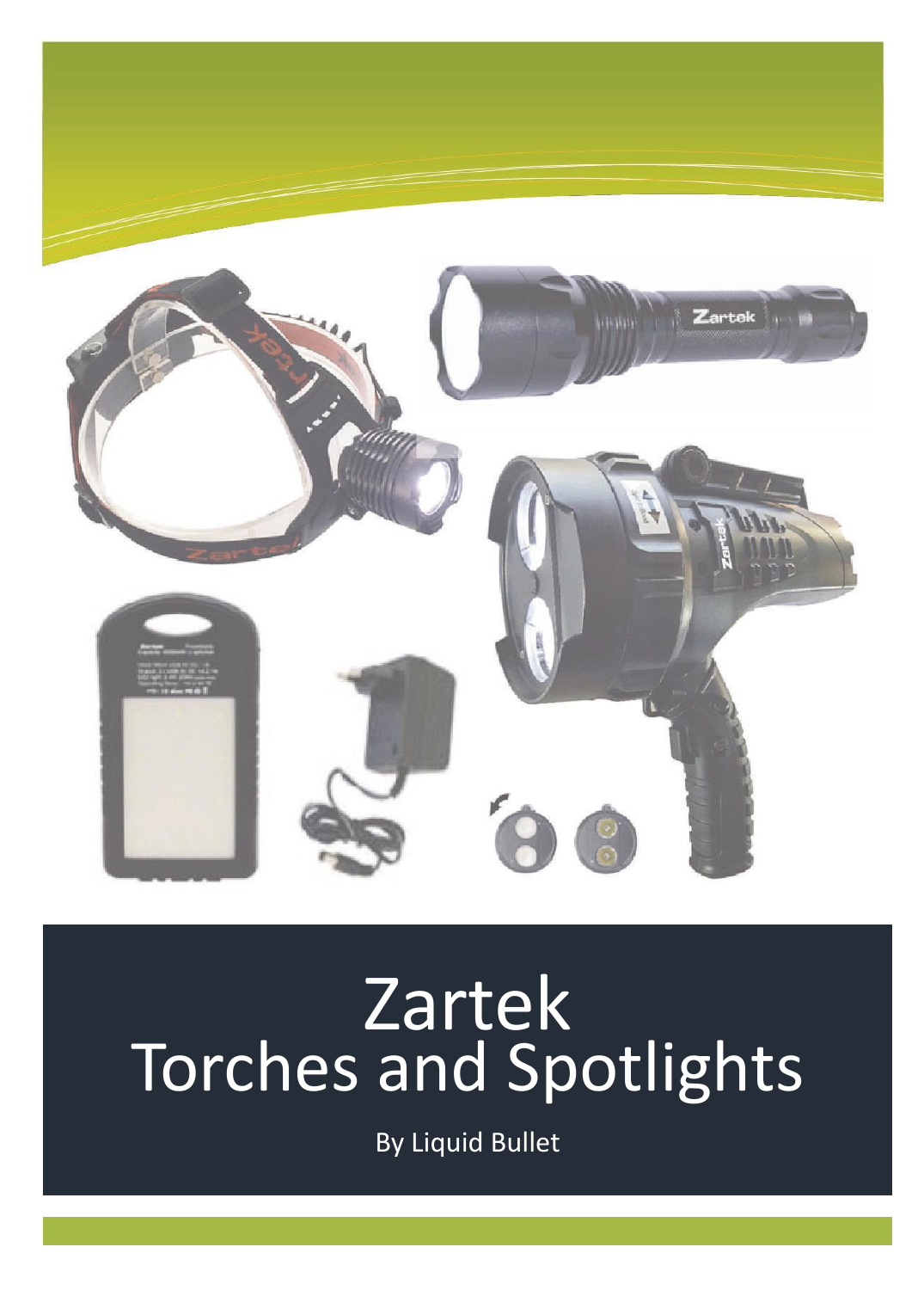

# Zartek Torches and Spotlights

By Liquid Bullet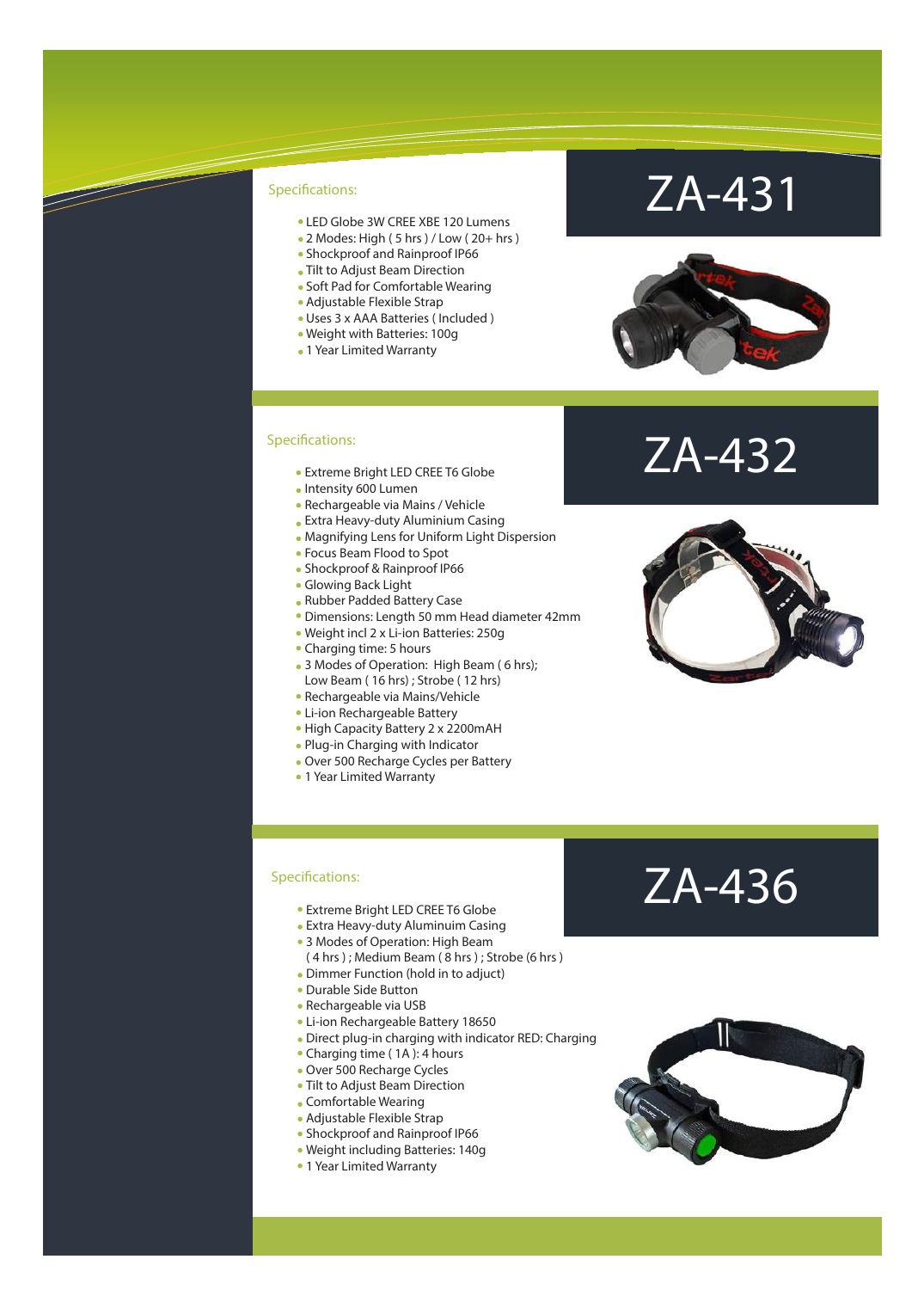- LED Globe 3W CREE XBE 120 Lumens
- 2 Modes: High (5 hrs ) / Low (20+ hrs )
- Shockproof and Rainproof IP66
- Tilt to Adjust Beam Direction
- Soft Pad for Comfortable Wearing
- Adjustable Flexible Strap
- Uses 3 x AAA Batteries ( Included )
- Weight with Batteries: 100g
- 1 Year Limited Warranty

#### Specifications:

- Extreme Bright LED CREE T6 Globe
- Intensity 600 Lumen
- Rechargeable via Mains / Vehicle
- Extra Heavy-duty Aluminium Casing
- Magnifying Lens for Uniform Light Dispersion
- Focus Beam Flood to Spot
- Shockproof & Rainproof IP66
- Glowing Back Light
- Rubber Padded Battery Case
- Dimensions: Length 50 mm Head diameter 42mm
- Weight incl 2 x Li-ion Batteries: 250g
- Charging time: 5 hours
- 3 Modes of Operation: High Beam ( 6 hrs); Low Beam ( 16 hrs) ; Strobe ( 12 hrs)
- Rechargeable via Mains/Vehicle
- Li-ion Rechargeable Battery
- High Capacity Battery 2 x 2200mAH
- Plug-in Charging with Indicator
- Over 500 Recharge Cycles per Battery
- 1 Year Limited Warranty

### ZA-431



### ZA-432



#### Specifications:

- Extreme Bright LED CREE T6 Globe
- Extra Heavy-duty Aluminuim Casing
- 3 Modes of Operation: High Beam
- ( 4 hrs ) ; Medium Beam ( 8 hrs ) ; Strobe (6 hrs )
- Dimmer Function (hold in to adjuct)
- Durable Side Button
- Rechargeable via USB
- Li-ion Rechargeable Battery 18650
- Direct plug-in charging with indicator RED: Charging
- Charging time (1A): 4 hours
- Over 500 Recharge Cycles
- Tilt to Adjust Beam Direction
- Comfortable Wearing
- Adjustable Flexible Strap
- Shockproof and Rainproof IP66
- Weight including Batteries: 140g
- 1 Year Limited Warranty

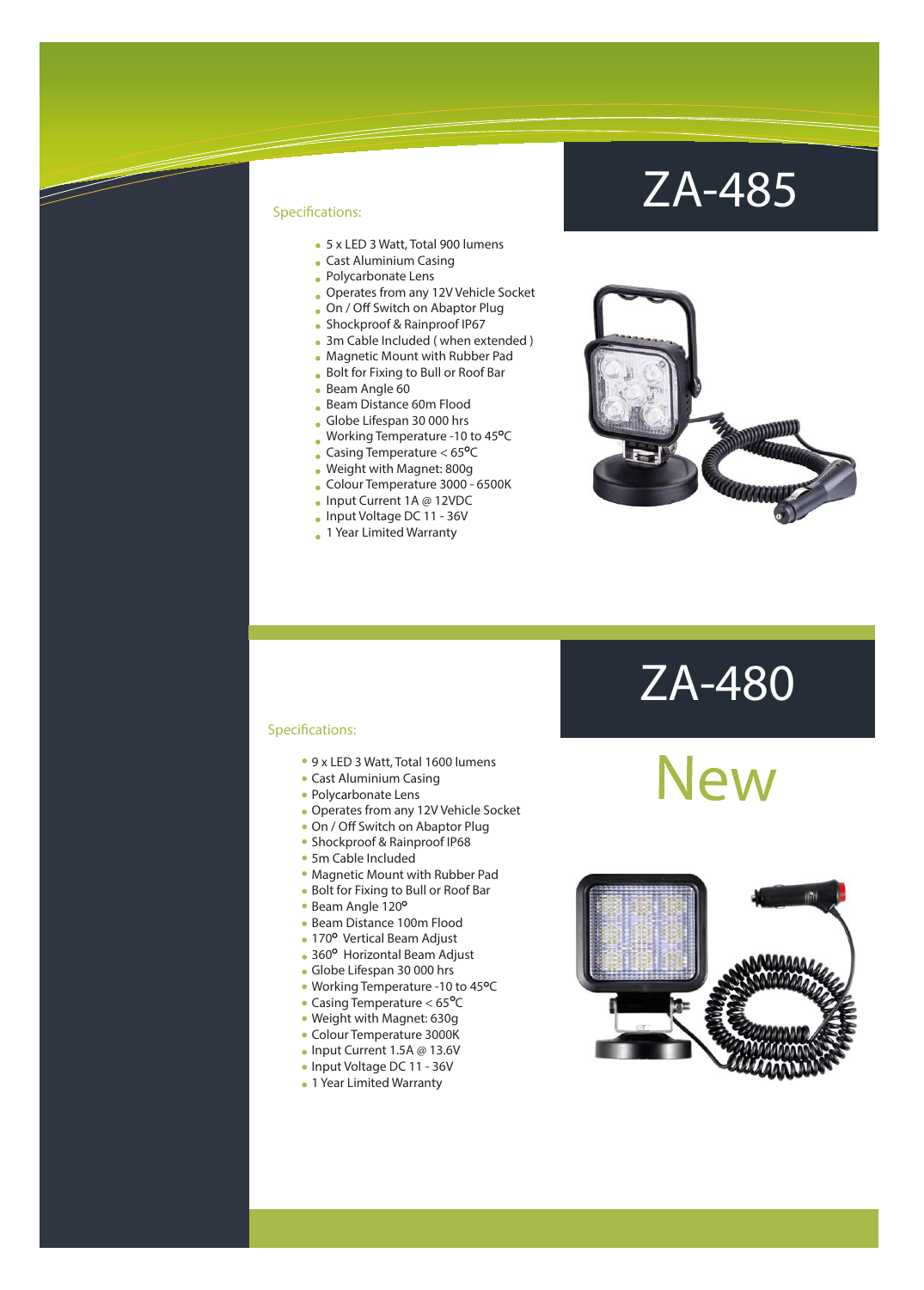- 5 x LED 3 Watt, Total 900 lumens
- Cast Aluminium Casing
- Polycarbonate Lens
- Operates from any 12V Vehicle Socket
- . On / Off Switch on Abaptor Plug
- Shockproof & Rainproof IP67
- 3m Cable Included (when extended)
- Magnetic Mount with Rubber Pad
- Bolt for Fixing to Bull or Roof Bar
- Beam Angle 60
- Beam Distance 60m Flood
- Globe Lifespan 30 000 hrs
- Working Temperature -10 to  $45^{\circ}$ C
- Casing Temperature  $< 65^{\circ}$ C
- Weight with Magnet: 800g
- Colour Temperature 3000 6500K
- Input Current 1A @ 12VDC
- Input Voltage DC 11 36V
- 1 Year Limited Warranty

### ZA-485



# ZA-480<br>New





- 9 x LED 3 Watt, Total 1600 lumens
- Cast Aluminium Casing
- Polycarbonate Lens
- Operates from any 12V Vehicle Socket
- . On / Off Switch on Abaptor Plug
- Shockproof & Rainproof IP68
- 5m Cable Included
- Magnetic Mount with Rubber Pad
- Bolt for Fixing to Bull or Roof Bar
- Beam Angle 120°
- Beam Distance 100m Flood
- 170° Vertical Beam Adjust
- 360° Horizontal Beam Adjust
- Globe Lifespan 30 000 hrs
- Working Temperature -10 to 45°C
- Casing Temperature  $< 65^{\circ}$ C
- Weight with Magnet: 630g Colour Temperature 3000K
- Input Current 1.5A @ 13.6V
- Input Voltage DC 11 36V
- 1 Year Limited Warranty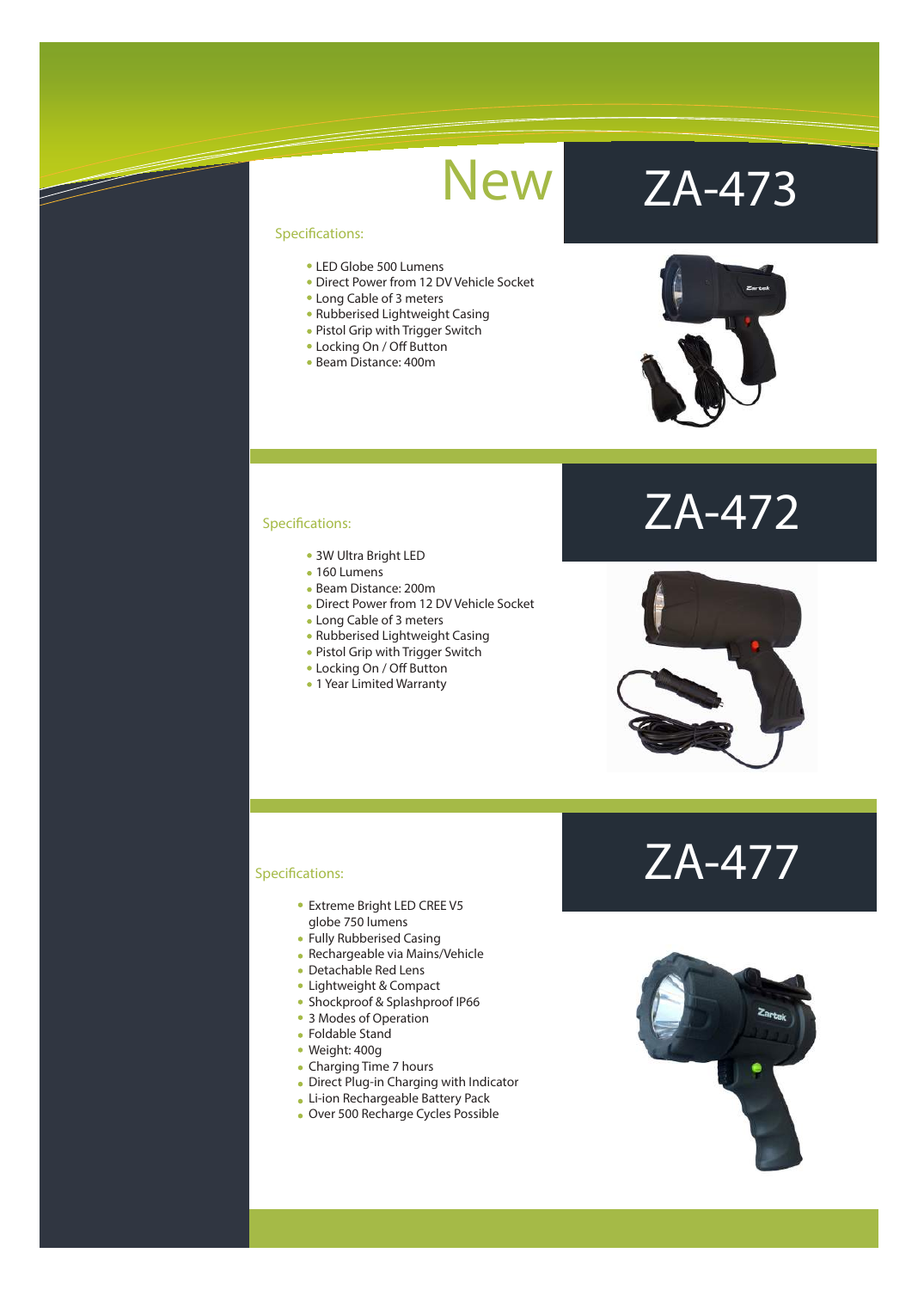F

- LED Globe 500 Lumens
- Direct Power from 12 DV Vehicle Socket
- Long Cable of 3 meters
- Rubberised Lightweight Casing
- Pistol Grip with Trigger Switch
- Locking On / Off Button
- Beam Distance: 400m

# New ZA-473



ZA-472

### Specifications:

- 3W Ultra Bright LED
- 160 Lumens
- Beam Distance: 200m
- Direct Power from 12 DV Vehicle Socket
- Long Cable of 3 meters
- Rubberised Lightweight Casing
- Pistol Grip with Trigger Switch
- Locking On / Off Button
- 1 Year Limited Warranty

#### Specifications:

- Extreme Bright LED CREE V5 globe 750 lumens
- Fully Rubberised Casing
- Rechargeable via Mains/Vehicle
- Detachable Red Lens
- Lightweight & Compact
- Shockproof & Splashproof IP66
- 3 Modes of Operation
- Foldable Stand
- Weight: 400g
- Charging Time 7 hours
- Direct Plug-in Charging with Indicator
- Li-ion Rechargeable Battery Pack
- Over 500 Recharge Cycles Possible



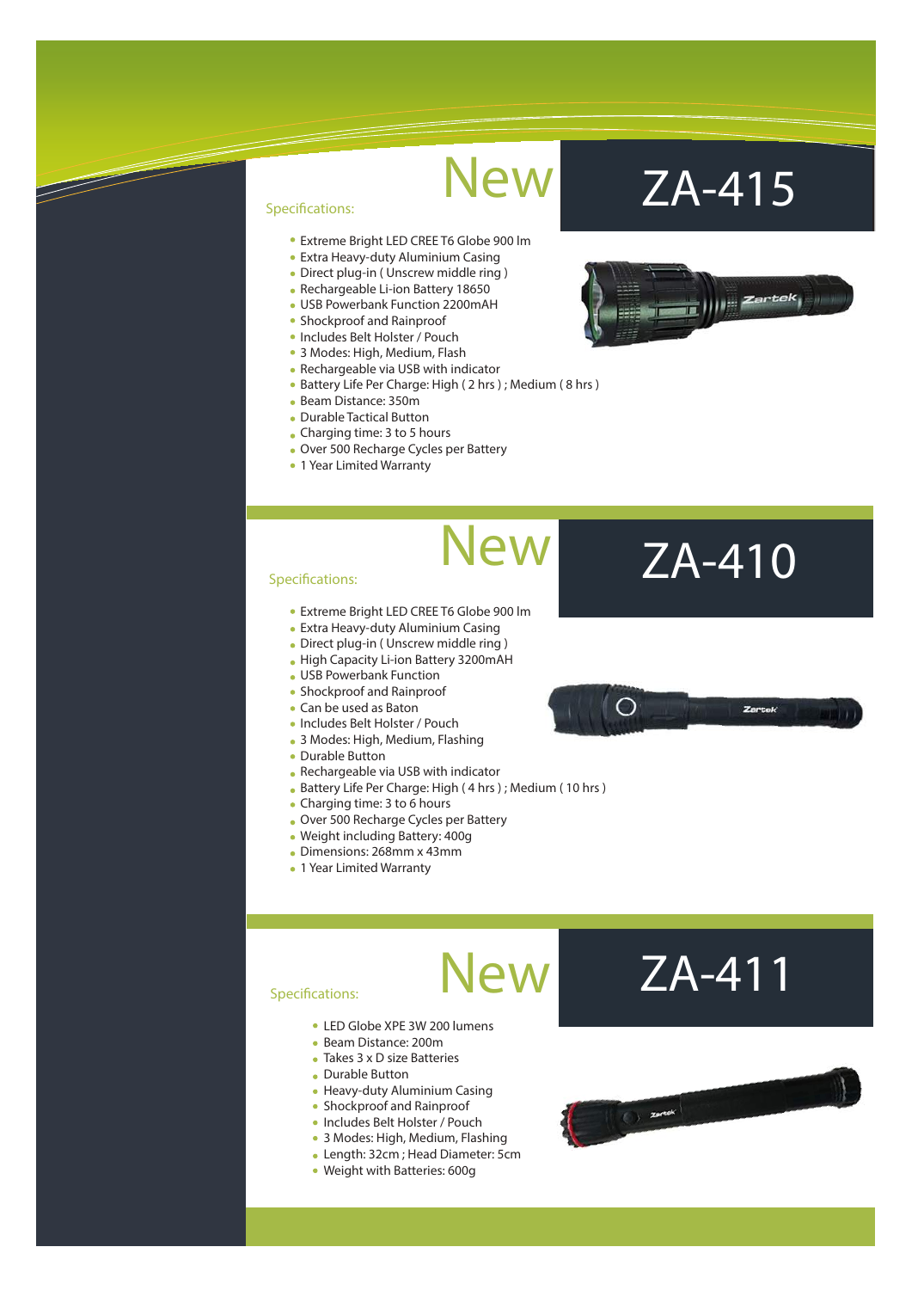New

New

#### Specifications:

- Extreme Bright LED CREE T6 Globe 900 lm
- Extra Heavy-duty Aluminium Casing
- Direct plug-in ( Unscrew middle ring )
- Rechargeable Li-ion Battery 18650
- USB Powerbank Function 2200mAH
- Shockproof and Rainproof
- Includes Belt Holster / Pouch
- 3 Modes: High, Medium, Flash • Rechargeable via USB with indicator
- Battery Life Per Charge: High ( 2 hrs ) ; Medium ( 8 hrs )
- Beam Distance: 350m
- Durable Tactical Button
- Charging time: 3 to 5 hours
- Over 500 Recharge Cycles per Battery
- 1 Year Limited Warranty

### New ZA-415



#### Specifications:

- Extreme Bright LED CREE T6 Globe 900 lm
- Extra Heavy-duty Aluminium Casing
- Direct plug-in ( Unscrew middle ring )
- High Capacity Li-ion Battery 3200mAH
- USB Powerbank Function
- Shockproof and Rainproof
- Can be used as Baton
- Includes Belt Holster / Pouch
- 3 Modes: High, Medium, Flashing
- Durable Button
- Rechargeable via USB with indicator
- Battery Life Per Charge: High ( 4 hrs ) ; Medium ( 10 hrs )
- Charging time: 3 to 6 hours
- Over 500 Recharge Cycles per Battery
- Weight including Battery: 400g
- Dimensions: 268mm x 43mm
- 1 Year Limited Warranty

## ◯

ZA-410

#### Specifications:

- LED Globe XPE 3W 200 lumens
- Beam Distance: 200m
- Takes 3 x D size Batteries
- Durable Button
- Heavy-duty Aluminium Casing
- Shockproof and Rainproof
- Includes Belt Holster / Pouch
- 3 Modes: High, Medium, Flashing
- Length: 32cm ; Head Diameter: 5cm
- Weight with Batteries: 600g

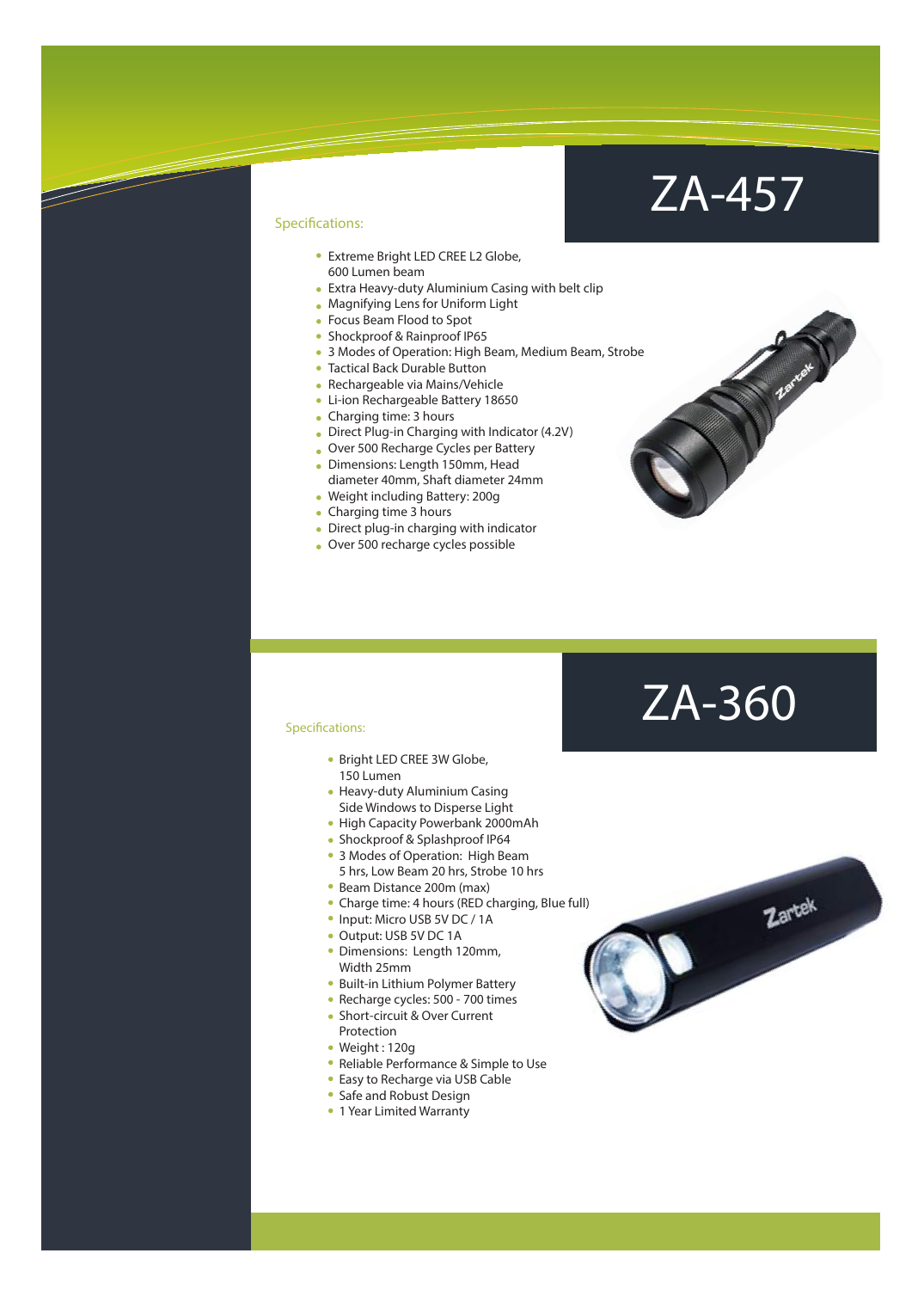### ZA-457

### Specifications:

- Extreme Bright LED CREE L2 Globe, 600 Lumen beam
- Extra Heavy-duty Aluminium Casing with belt clip
- Magnifying Lens for Uniform Light
- Focus Beam Flood to Spot
- Shockproof & Rainproof IP65
- 3 Modes of Operation: High Beam, Medium Beam, Strobe
- Tactical Back Durable Button
- Rechargeable via Mains/Vehicle
- Li-ion Rechargeable Battery 18650
- Charging time: 3 hours
- Direct Plug-in Charging with Indicator (4.2V)
- Over 500 Recharge Cycles per Battery
- Dimensions: Length 150mm, Head diameter 40mm, Shaft diameter 24mm
- Weight including Battery: 200g
- Charging time 3 hours
- Direct plug-in charging with indicator
- Over 500 recharge cycles possible

### ZA-360

Zartek

- Bright LED CREE 3W Globe, 150 Lumen
- Heavy-duty Aluminium Casing
- Side Windows to Disperse Light
- High Capacity Powerbank 2000mAh
- Shockproof & Splashproof IP64
- 3 Modes of Operation: High Beam 5 hrs, Low Beam 20 hrs, Strobe 10 hrs
- Beam Distance 200m (max)
- Charge time: 4 hours (RED charging, Blue full)
- Input: Micro USB 5V DC / 1A
- Output: USB 5V DC 1A
- Dimensions: Length 120mm, Width 25mm
- Built-in Lithium Polymer Battery
- Recharge cycles: 500 700 times
- Short-circuit & Over Current Protection
- Weight : 120g
- Reliable Performance & Simple to Use
- Easy to Recharge via USB Cable
- Safe and Robust Design
- 1 Year Limited Warranty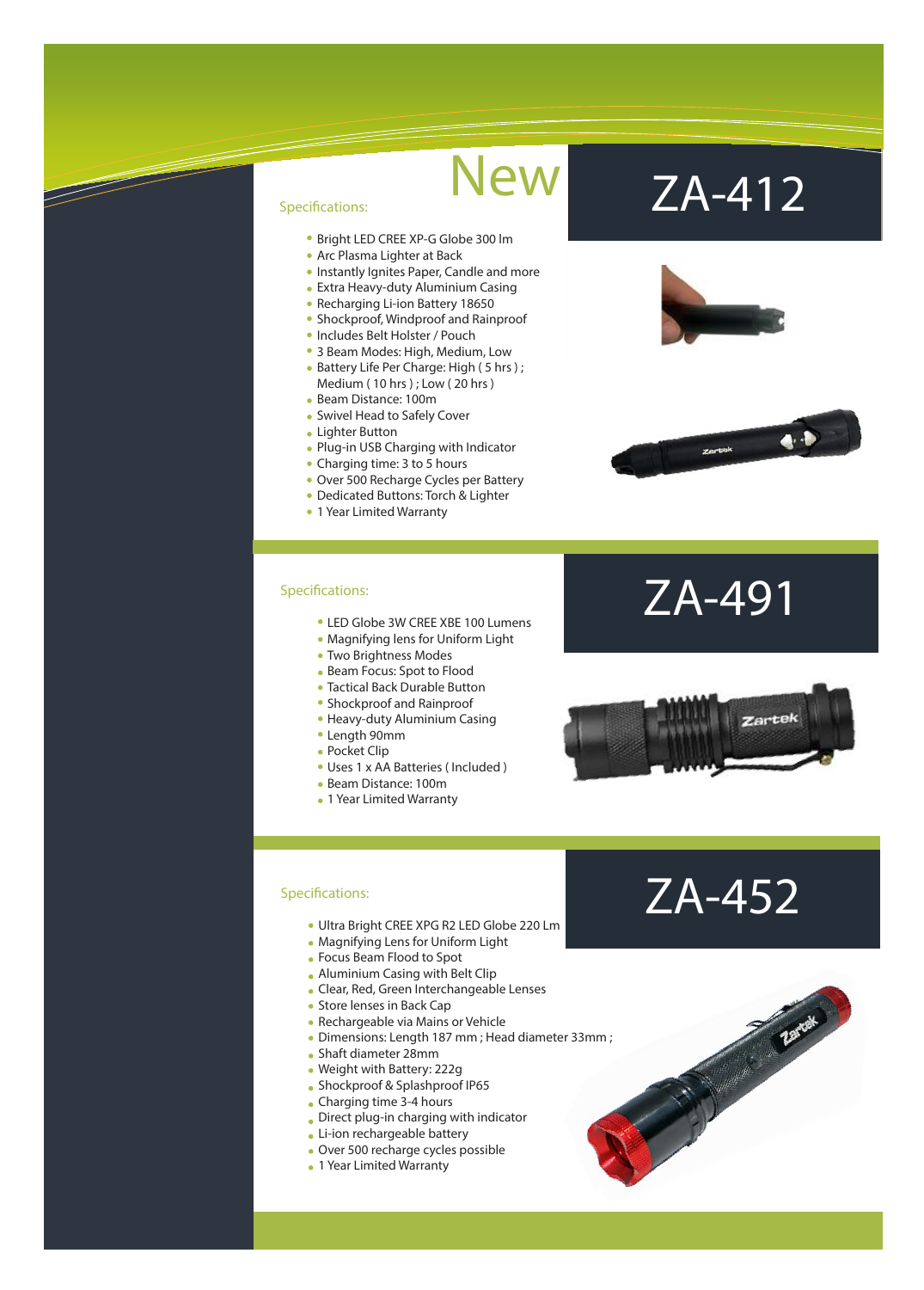- Bright LED CREE XP-G Globe 300 lm
- Arc Plasma Lighter at Back
- **Instantly Ignites Paper, Candle and more**
- Extra Heavy-duty Aluminium Casing
- Recharging Li-ion Battery 18650
- Shockproof, Windproof and Rainproof
- Includes Belt Holster / Pouch
- 3 Beam Modes: High, Medium, Low
- Battery Life Per Charge: High (5 hrs); Medium ( 10 hrs ) ; Low ( 20 hrs )
- Beam Distance: 100m
- Swivel Head to Safely Cover
- Lighter Button
- Plug-in USB Charging with Indicator
- Charging time: 3 to 5 hours
- Over 500 Recharge Cycles per Battery
- Dedicated Buttons: Torch & Lighter
- 1 Year Limited Warranty

#### Specifications:

- LED Globe 3W CREE XBE 100 Lumens
- Magnifying lens for Uniform Light
- Two Brightness Modes
- Beam Focus: Spot to Flood
- Tactical Back Durable Button
- Shockproof and Rainproof
- Heavy-duty Aluminium Casing
- Length 90mm
- Pocket Clip
- Uses 1 x AA Batteries ( Included )
- Beam Distance: 100m
- 1 Year Limited Warranty

# New ZA-412





### ZA-491



- Ultra Bright CREE XPG R2 LED Globe 220 Lm
- Magnifying Lens for Uniform Light
- Focus Beam Flood to Spot
- Aluminium Casing with Belt Clip
- Clear, Red, Green Interchangeable Lenses
- Store lenses in Back Cap
- Rechargeable via Mains or Vehicle
- Dimensions: Length 187 mm ; Head diameter 33mm ;
- Shaft diameter 28mm
- Weight with Battery: 222g
- Shockproof & Splashproof IP65
- Charging time 3-4 hours
- Direct plug-in charging with indicator
- Li-ion rechargeable battery
- Over 500 recharge cycles possible
- 1 Year Limited Warranty

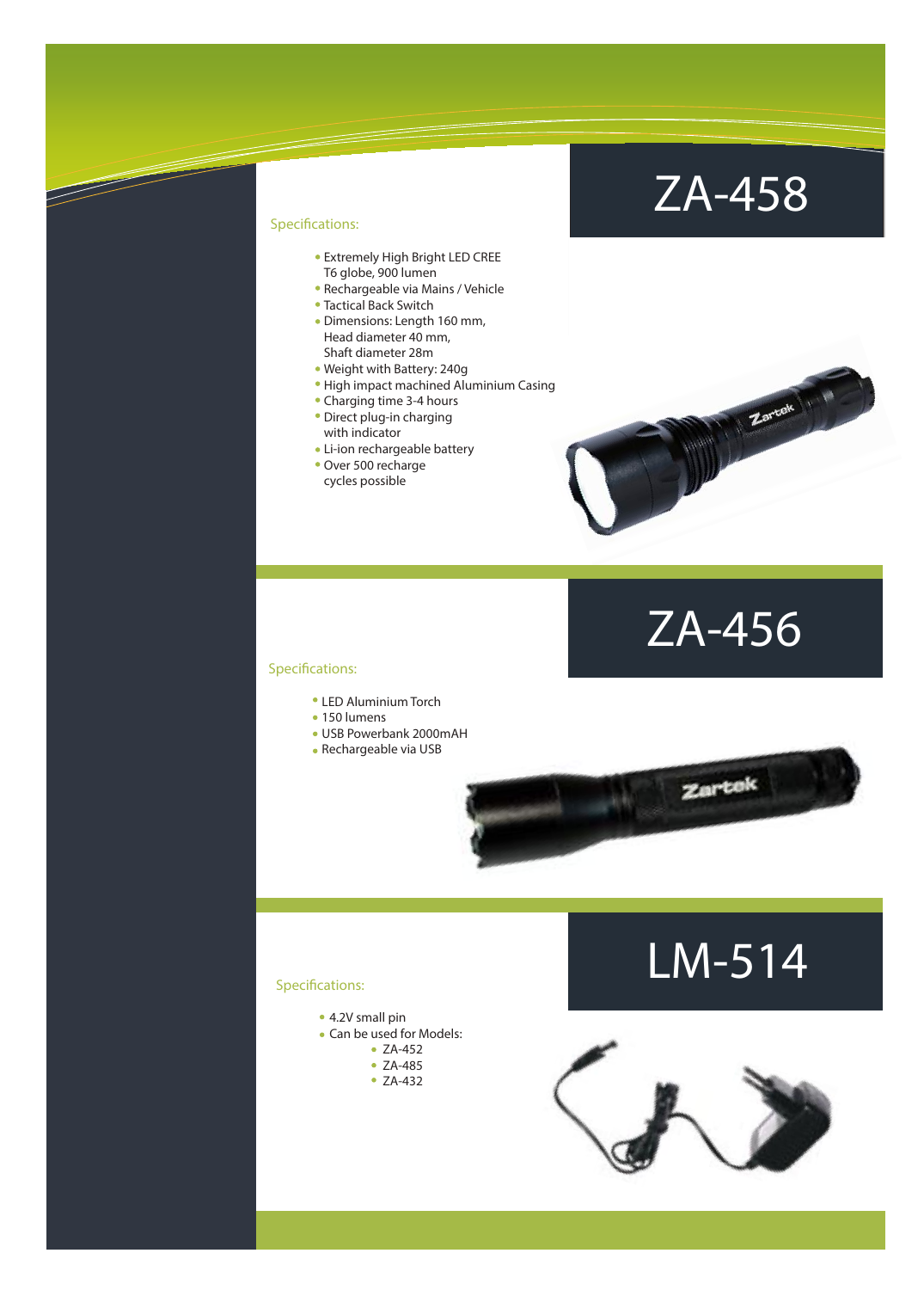### ZA-458

### Specifications:

- Extremely High Bright LED CREE T6 globe, 900 lumen
- Rechargeable via Mains / Vehicle
- Tactical Back Switch
- Dimensions: Length 160 mm, Head diameter 40 mm, Shaft diameter 28m
- Weight with Battery: 240g
- High impact machined Aluminium Casing
- Charging time 3-4 hours
- Direct plug-in charging with indicator
- Li-ion rechargeable battery
- Over 500 recharge cycles possible





Zartok

#### Specifications:

- LED Aluminium Torch
- 150 lumens
- USB Powerbank 2000mAH
- Rechargeable via USB

### LM-514

- 4.2V small pin
- Can be used for Models:
	- ZA-452
	- ZA-485
	- ZA-432

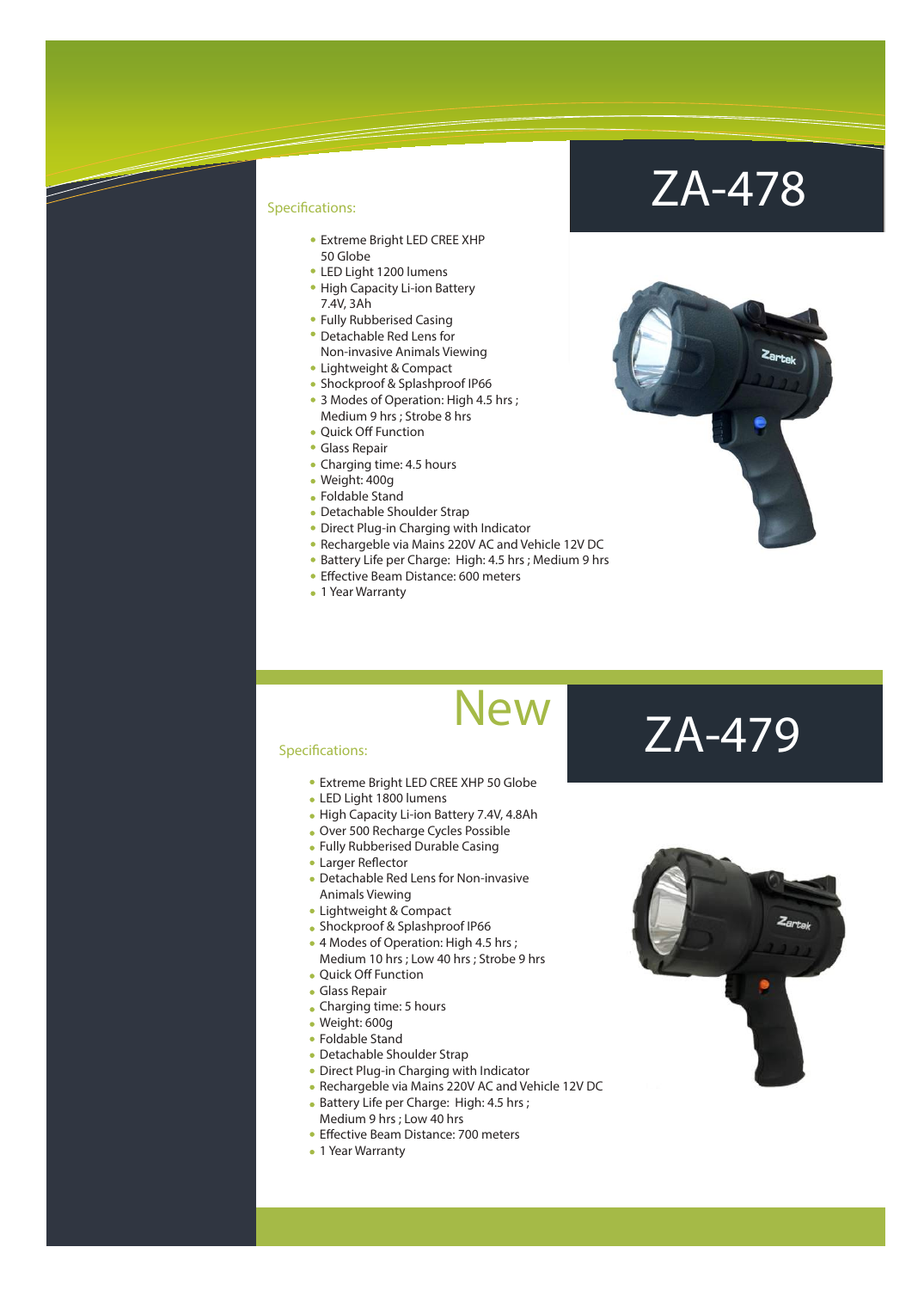- Extreme Bright LED CREE XHP 50 Globe
- LED Light 1200 lumens
- High Capacity Li-ion Battery 7.4V, 3Ah
- Fully Rubberised Casing
- Detachable Red Lens for Non-invasive Animals Viewing
- Lightweight & Compact
- **Shockproof & Splashproof IP66**
- 3 Modes of Operation: High 4.5 hrs ; Medium 9 hrs ; Strobe 8 hrs
- Quick Off Function
- Glass Repair
- Charging time: 4.5 hours
- Weight: 400g
- Foldable Stand
- Detachable Shoulder Strap
- Direct Plug-in Charging with Indicator
- Rechargeble via Mains 220V AC and Vehicle 12V DC
- Battery Life per Charge: High: 4.5 hrs ; Medium 9 hrs
- Effective Beam Distance: 600 meters
- 1 Year Warranty

### ZA-478



### **New**

#### Specifications:

- Extreme Bright LED CREE XHP 50 Globe
- LED Light 1800 lumens
- High Capacity Li-ion Battery 7.4V, 4.8Ah
- Over 500 Recharge Cycles Possible
- Fully Rubberised Durable Casing
- Larger Reflector
- Detachable Red Lens for Non-invasive Animals Viewing
- Lightweight & Compact
- Shockproof & Splashproof IP66
- 4 Modes of Operation: High 4.5 hrs ; Medium 10 hrs ; Low 40 hrs ; Strobe 9 hrs
- Quick Off Function
- Glass Repair
- Charging time: 5 hours
- Weight: 600g
- Foldable Stand
- Detachable Shoulder Strap
- Direct Plug-in Charging with Indicator
- Rechargeble via Mains 220V AC and Vehicle 12V DC
- **Battery Life per Charge: High: 4.5 hrs ;** Medium 9 hrs ; Low 40 hrs
- Effective Beam Distance: 700 meters
- 1 Year Warranty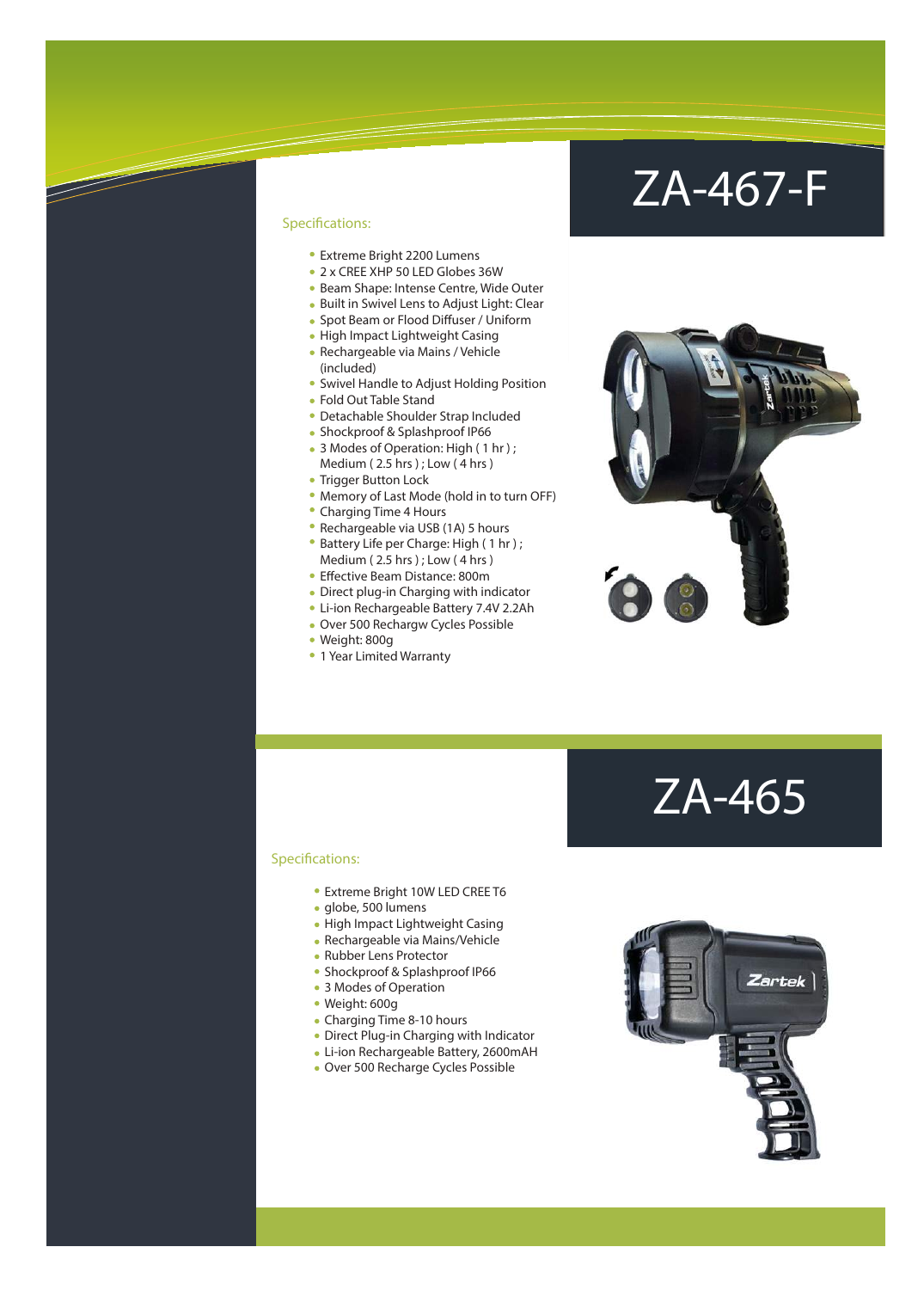### ZA-467-F

#### Specifications:

- Extreme Bright 2200 Lumens
- 2 x CREE XHP 50 LED Globes 36W
- Beam Shape: Intense Centre, Wide Outer
- Built in Swivel Lens to Adjust Light: Clear
- Spot Beam or Flood Diffuser / Uniform
- High Impact Lightweight Casing Rechargeable via Mains / Vehicle
- (included)
- Swivel Handle to Adjust Holding Position
- Fold Out Table Stand
- Detachable Shoulder Strap Included
- Shockproof & Splashproof IP66
- 3 Modes of Operation: High (1 hr); Medium (2.5 hrs); Low (4 hrs)
- Trigger Button Lock
- Memory of Last Mode (hold in to turn OFF)
- Charging Time 4 Hours
- Rechargeable via USB (1A) 5 hours
- Battery Life per Charge: High (1 hr); Medium ( 2.5 hrs ) ; Low ( 4 hrs )
- Effective Beam Distance: 800m
- Direct plug-in Charging with indicator
- Li-ion Rechargeable Battery 7.4V 2.2Ah
- Over 500 Rechargw Cycles Possible
- Weight: 800g
- 1 Year Limited Warranty



### ZA-465

- Extreme Bright 10W LED CREE T6
- · globe, 500 lumens
- High Impact Lightweight Casing
- Rechargeable via Mains/Vehicle
- Rubber Lens Protector
- **Shockproof & Splashproof IP66**
- 3 Modes of Operation
- Weight: 600g
- Charging Time 8-10 hours
- Direct Plug-in Charging with Indicator
- Li-ion Rechargeable Battery, 2600mAH
- Over 500 Recharge Cycles Possible

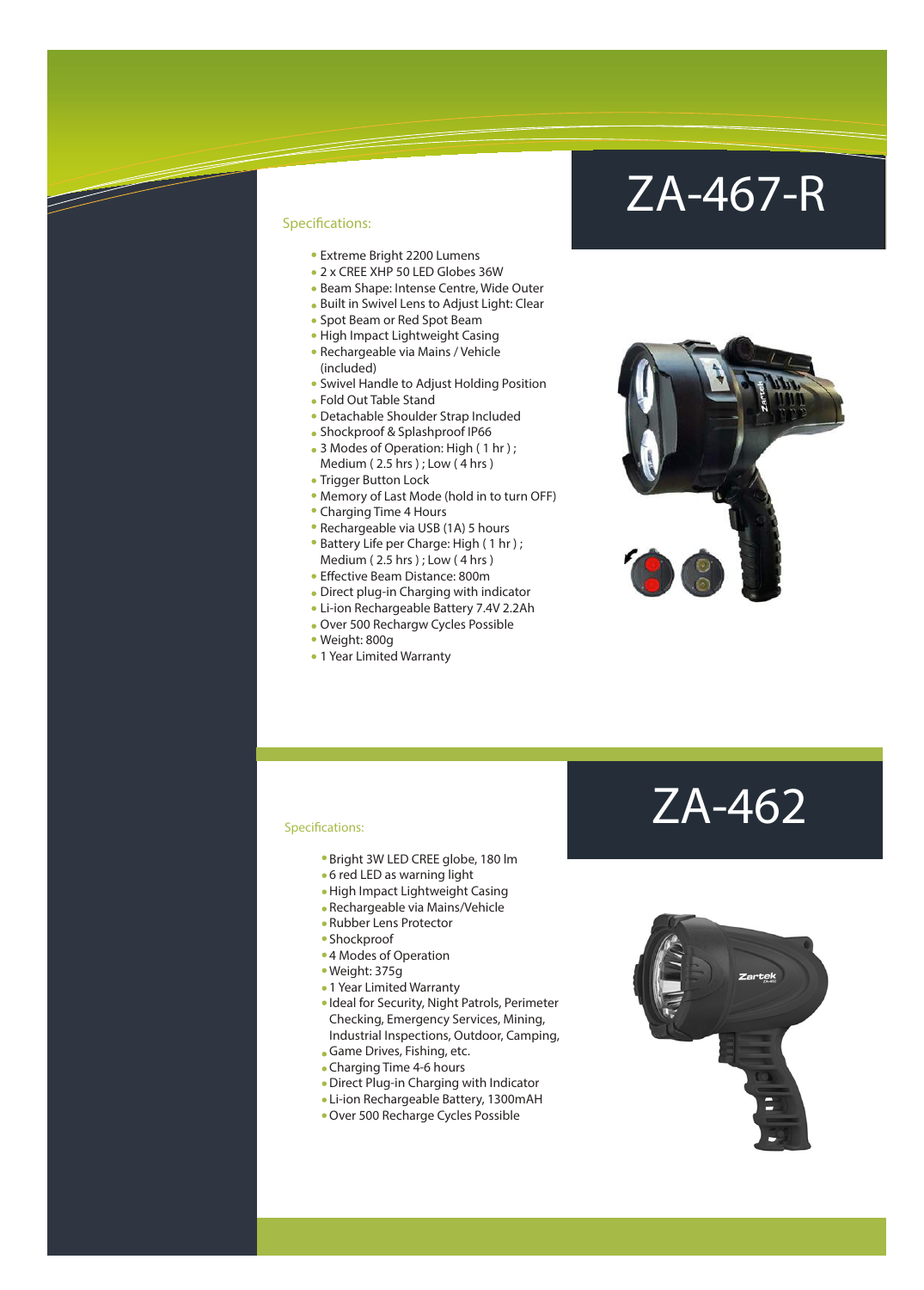- Extreme Bright 2200 Lumens
- 2 x CREE XHP 50 LED Globes 36W
- Beam Shape: Intense Centre, Wide Outer
- Built in Swivel Lens to Adjust Light: Clear
- Spot Beam or Red Spot Beam
- High Impact Lightweight Casing
- Rechargeable via Mains / Vehicle (included)
- Swivel Handle to Adjust Holding Position
- Fold Out Table Stand
- Detachable Shoulder Strap Included
- Shockproof & Splashproof IP66
- 3 Modes of Operation: High (1 hr); Medium ( 2.5 hrs ) ; Low ( 4 hrs )
- Trigger Button Lock
- Memory of Last Mode (hold in to turn OFF)
- Charging Time 4 Hours
- Rechargeable via USB (1A) 5 hours
- Battery Life per Charge: High ( 1 hr ) ; Medium ( 2.5 hrs ) ; Low ( 4 hrs )
- Effective Beam Distance: 800m
- Direct plug-in Charging with indicator
- Li-ion Rechargeable Battery 7.4V 2.2Ah
- Over 500 Rechargw Cycles Possible
- Weight: 800g
- 1 Year Limited Warranty

### ZA-467-R





- Bright 3W LED CREE globe, 180 lm
- 6 red LED as warning light
- High Impact Lightweight Casing
- Rechargeable via Mains/Vehicle
- Rubber Lens Protector
- Shockproof
- 4 Modes of Operation
- Weight: 375g
- 1 Year Limited Warranty
- 
- Ideal for Security, Night Patrols, Perimeter Checking, Emergency Services, Mining, Industrial Inspections, Outdoor, Camping, Game Drives, Fishing, etc.
- Charging Time 4-6 hours
- 
- Direct Plug-in Charging with Indicator
- Li-ion Rechargeable Battery, 1300mAH
- Over 500 Recharge Cycles Possible

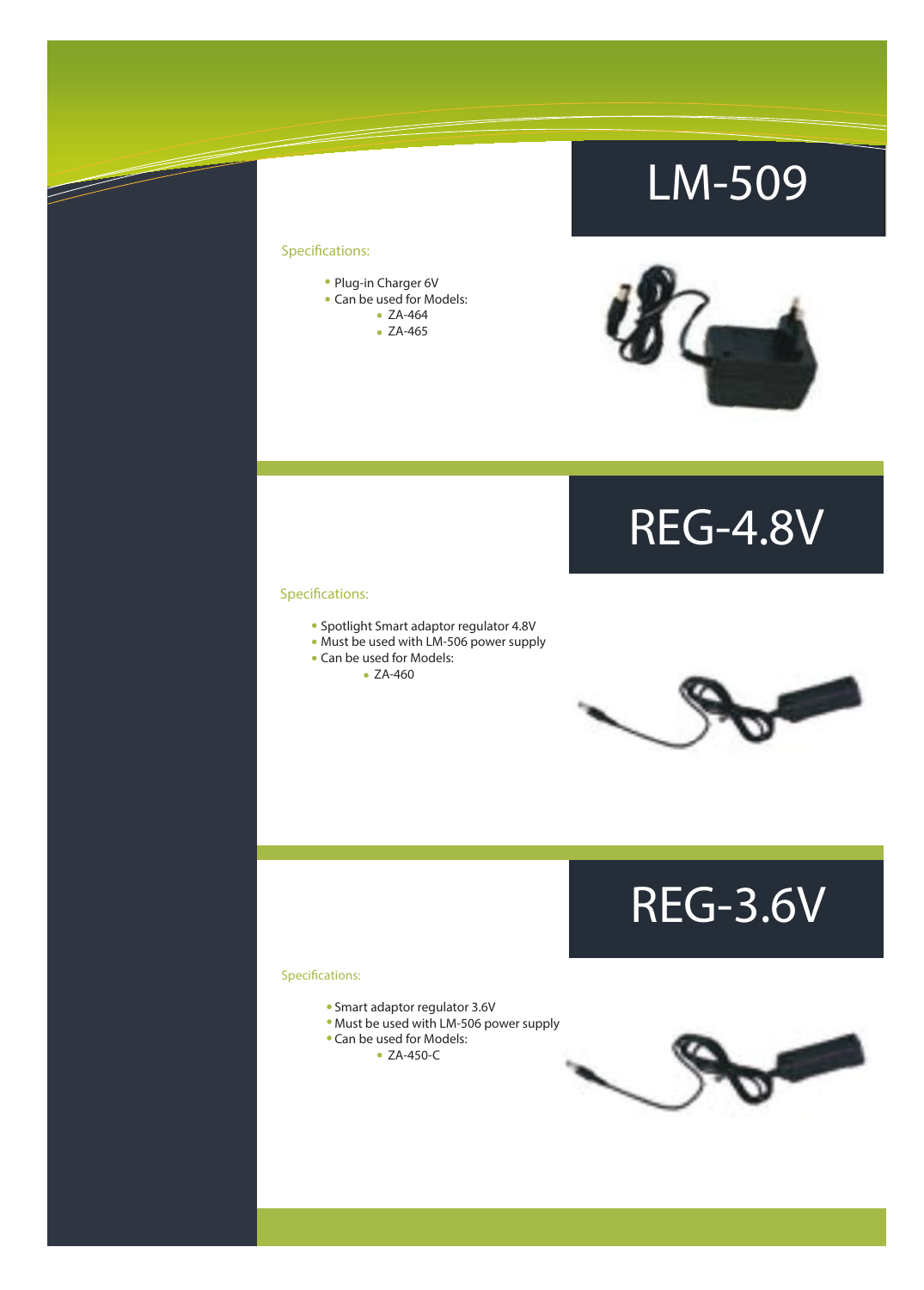### LM-509

### Specifications:

 $\overline{\mathscr{S}}$ 



• ZA-465



### REG-4.8V

#### Specifications:

- Spotlight Smart adaptor regulator 4.8V
- Must be used with LM-506 power supply
- Can be used for Models:
	- ZA-460



REG-3.6V

- Smart adaptor regulator 3.6V
- Must be used with LM-506 power supply
- Can be used for Models:
	- ZA-450-C

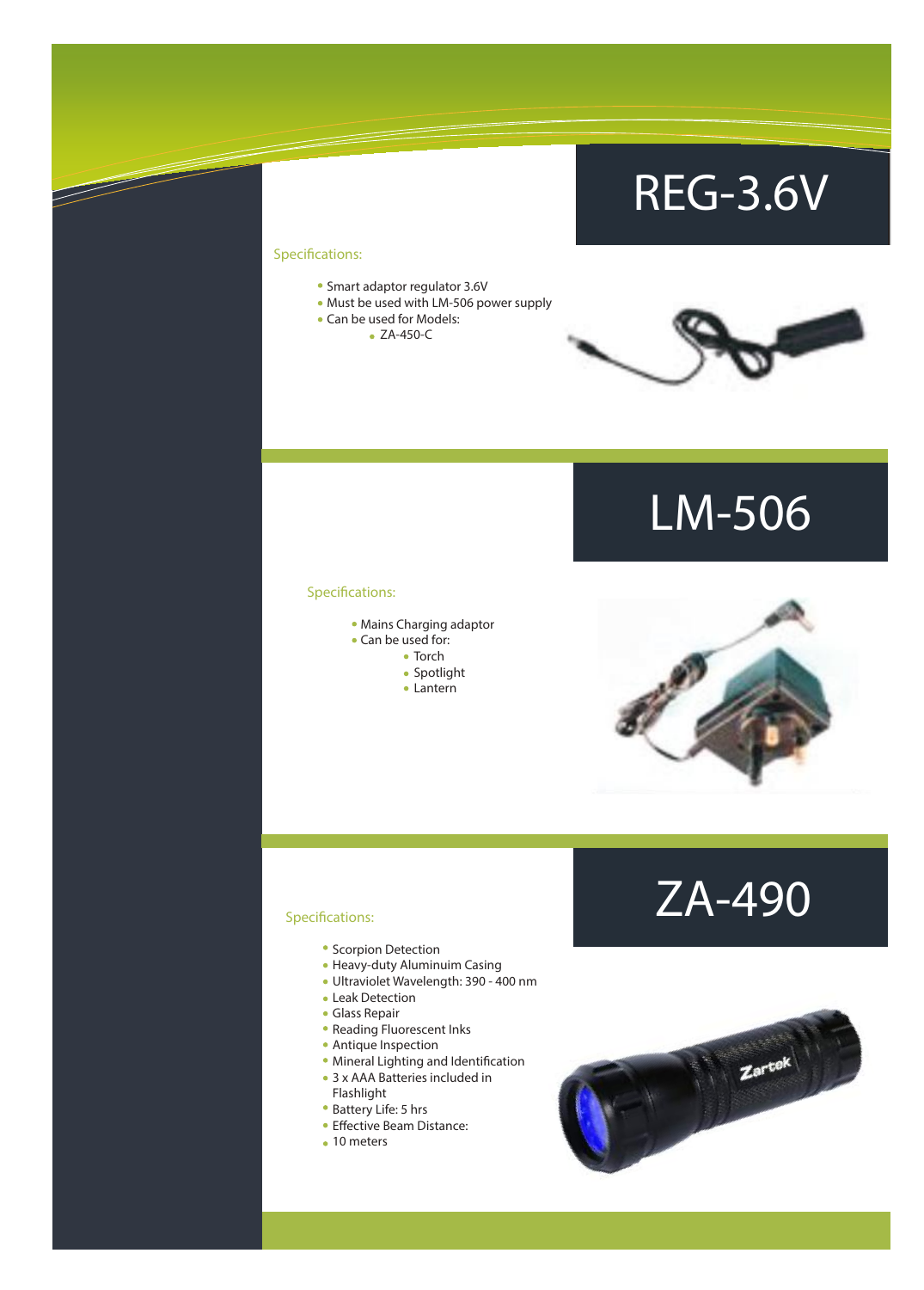### REG-3.6V

### Specifications:

 $\overline{\mathscr{S}}$ 

- Smart adaptor regulator 3.6V
- Must be used with LM-506 power supply
- Can be used for Models:
	- ZA-450-C



### LM-506

#### Specifications:

- Mains Charging adaptor
- Can be used for:
	- Torch
	- Spotlight
	- Lantern



### ZA-490

- Scorpion Detection
- Heavy-duty Aluminuim Casing
- Ultraviolet Wavelength: 390 400 nm
- Leak Detection
- Glass Repair
- Reading Fluorescent Inks
- Antique Inspection
- Mineral Lighting and Identification
- 3 x AAA Batteries included in Flashlight
- Battery Life: 5 hrs
- Effective Beam Distance:
- 10 meters

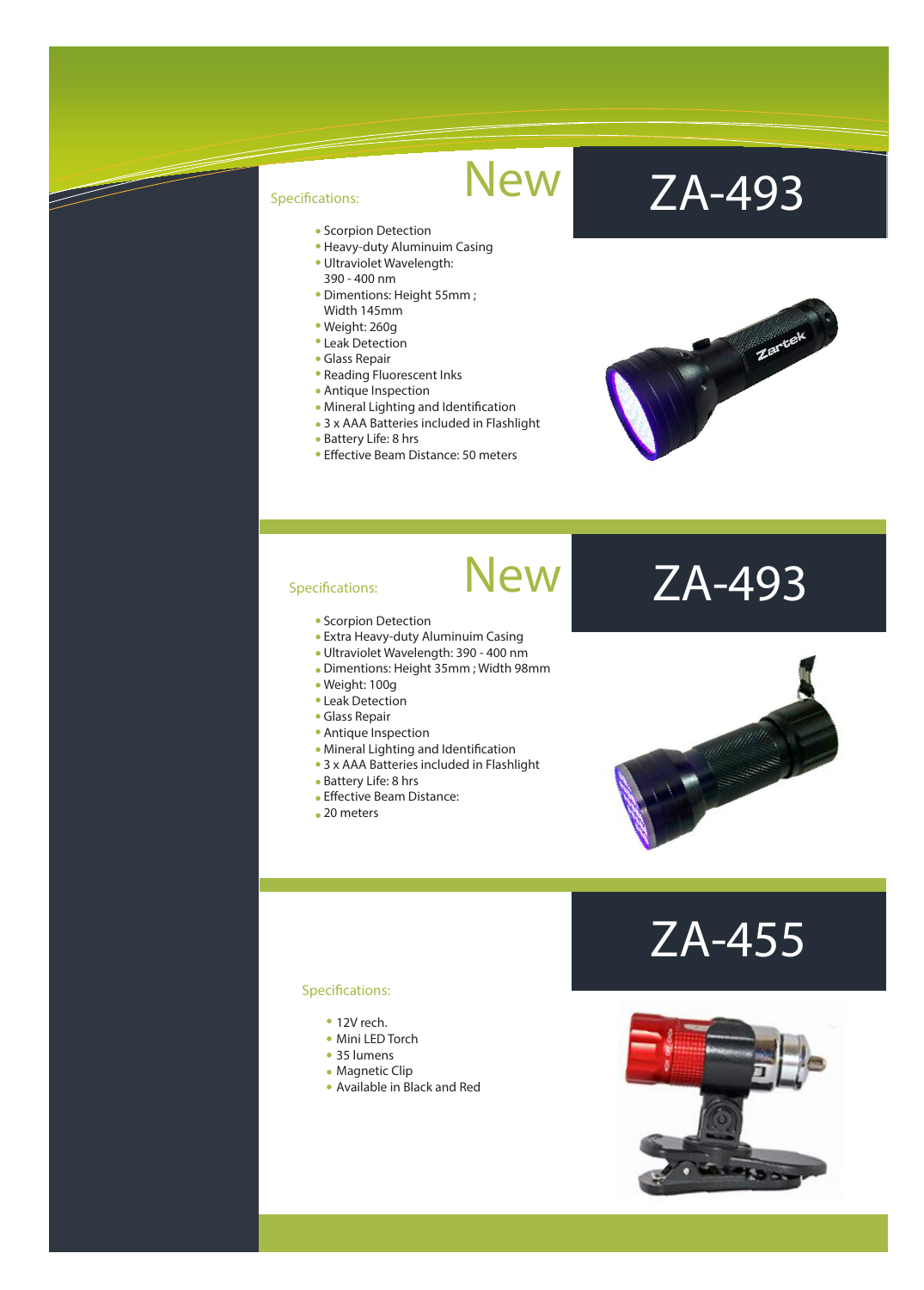- Scorpion Detection
- Heavy-duty Aluminuim Casing
- Ultraviolet Wavelength: 390 - 400 nm
- Dimentions: Height 55mm ; Width 145mm
- Weight: 260g
- Leak Detection
- Glass Repair
- Reading Fluorescent Inks
- Antique Inspection
- Mineral Lighting and Identification
- 3 x AAA Batteries included in Flashlight
- Battery Life: 8 hrs
- **Effective Beam Distance: 50 meters**

### ZA-493



#### Specifications:

- **Scorpion Detection**
- Extra Heavy-duty Aluminuim Casing
- Ultraviolet Wavelength: 390 400 nm
- Dimentions: Height 35mm ; Width 98mm

New

**New** 

- Weight: 100g
- Leak Detection
- Glass Repair
- Antique Inspection
- Mineral Lighting and Identification
- 3 x AAA Batteries included in Flashlight
- 
- Battery Life: 8 hrs
- Effective Beam Distance:
- 20 meters

### ZA-493



### ZA-455

- 12V rech.
- Mini LED Torch
- 35 lumens
- Magnetic Clip
- Available in Black and Red

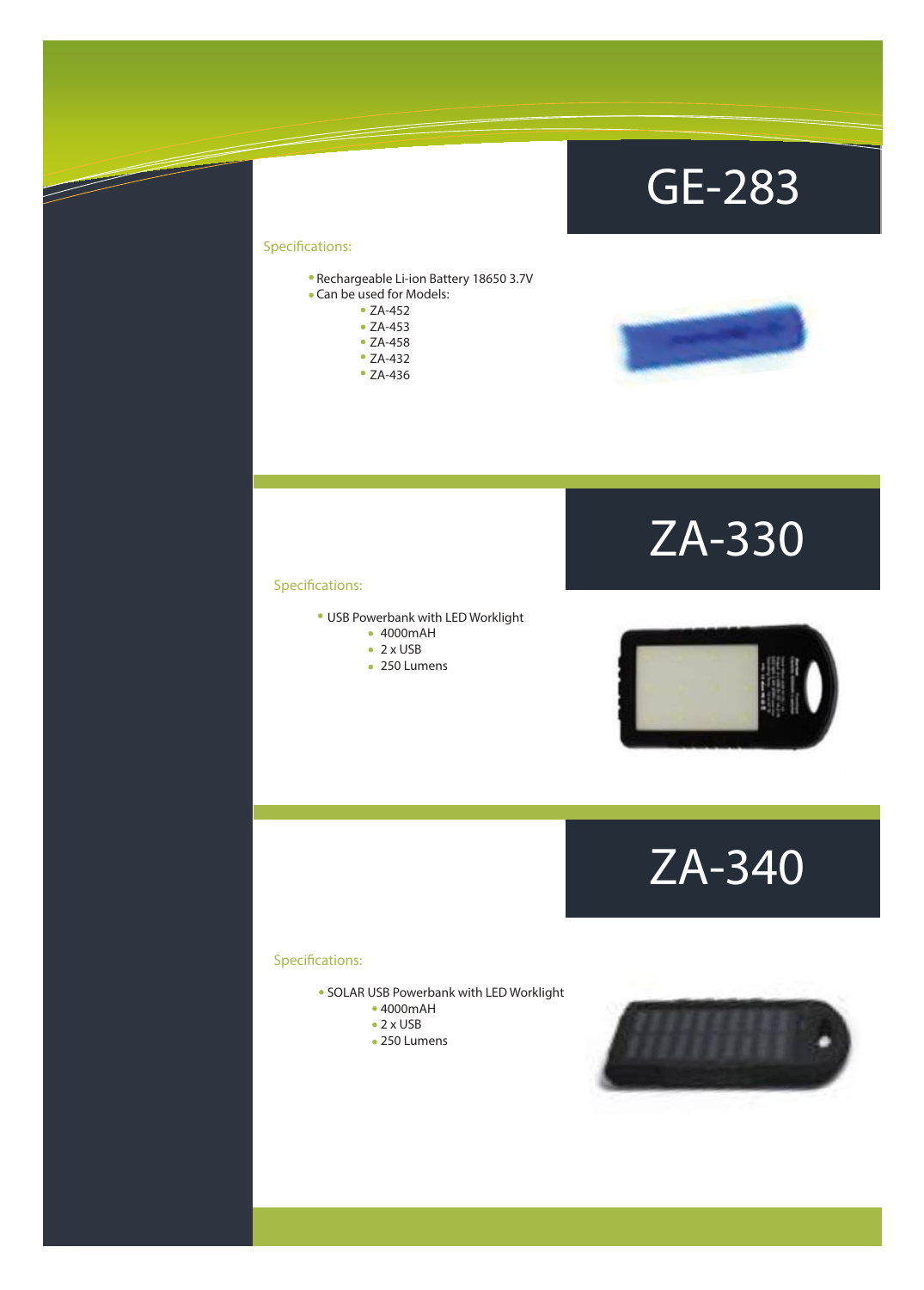### GE-283

### Specifications:

<u> J</u>

- Rechargeable Li-ion Battery 18650 3.7V Can be used for Models:
	- ZA-452
		- ZA-453
		- ZA-458
		- ZA-432
		- ZA-436



### ZA-330

#### Specifications:

- USB Powerbank with LED Worklight
	- 4000mAH
	- $\bullet$  2 x USB
	- 250 Lumens



ZA-340

- SOLAR USB Powerbank with LED Worklight
	- 4000mAH
		- $\bullet$  2 x USB
	- 250 Lumens